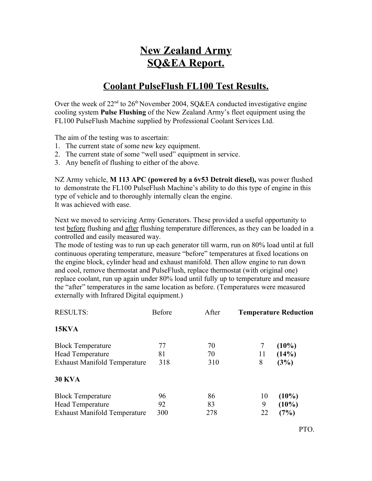## **New Zealand Army SQ&EA Report.**

## **Coolant PulseFlush FL100 Test Results.**

Over the week of  $22<sup>nd</sup>$  to  $26<sup>th</sup>$  November 2004, SQ&EA conducted investigative engine cooling system **Pulse Flushing** of the New Zealand Army's fleet equipment using the FL100 PulseFlush Machine supplied by Professional Coolant Services Ltd.

The aim of the testing was to ascertain:

- 1. The current state of some new key equipment.
- 2. The current state of some "well used" equipment in service.
- 3. Any benefit of flushing to either of the above.

NZ Army vehicle, **M 113 APC (powered by a 6v53 Detroit diesel),** was power flushed to demonstrate the FL100 PulseFlush Machine's ability to do this type of engine in this type of vehicle and to thoroughly internally clean the engine. It was achieved with ease.

Next we moved to servicing Army Generators. These provided a useful opportunity to test before flushing and after flushing temperature differences, as they can be loaded in a controlled and easily measured way.

The mode of testing was to run up each generator till warm, run on 80% load until at full continuous operating temperature, measure "before" temperatures at fixed locations on the engine block, cylinder head and exhaust manifold. Then allow engine to run down and cool, remove thermostat and PulseFlush, replace thermostat (with original one) replace coolant, run up again under 80% load until fully up to temperature and measure the "after" temperatures in the same location as before. (Temperatures were measured externally with Infrared Digital equipment.)

| <b>RESULTS:</b>                     | <b>Before</b> | After | <b>Temperature Reduction</b> |          |
|-------------------------------------|---------------|-------|------------------------------|----------|
| 15KVA                               |               |       |                              |          |
| <b>Block Temperature</b>            | 77            | 70    |                              | $(10\%)$ |
| Head Temperature                    | 81            | 70    | 11                           | (14%)    |
| Exhaust Manifold Temperature        | 318           | 310   | 8                            | (3%)     |
| <b>30 KVA</b>                       |               |       |                              |          |
| <b>Block Temperature</b>            | 96            | 86    | 10                           | $(10\%)$ |
| <b>Head Temperature</b>             | 92            | 83    | 9                            | $(10\%)$ |
| <b>Exhaust Manifold Temperature</b> | 300           | 278   | 22                           | (7%)     |